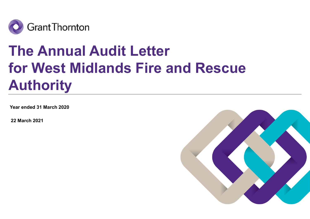

# The Annual Audit Letter for West Midlands Fire and Rescue Authority

Year ended 31 March 2020

22 March 2021

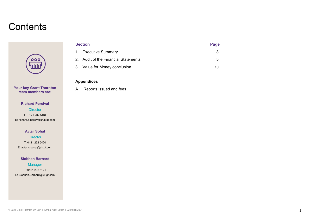### **Contents**



Your key Grant Thornton A Reports issued and fees team members are:

#### Richard Percival

**Director** T: 0121 232 5434 E: richard.d.percival@uk.gt.com

#### Avtar Sohal

**Director** T: 0121 232 5420 E: avtar.s.sohal@uk.gt.com

#### Siobhan Barnard

**Manager** T: 0121 232 5121 E: Siobhan.Barnard@uk.gt.com

#### Appendices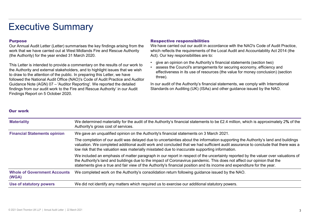## Executive Summary

#### Purpose

Executive Summary<br>
Purpose<br>
Our Annual Audit Letter (Letter) summarises the key findings arising from the<br>
Werk that we have carried out at West Midlands Fire and Rescue Authority<br>
(the Authority) for the year ended 31 Mar This Letter is intended to provide a commentary on the results of our work to<br>assess the Council's arrangements for securing economy, efficiency and<br>assess the Council's arrangements for securing economy, efficiency and EXECUTIVE SUMMARY<br>
Purpose Respective<br>
Our Annual Audit Letter (Letter) summarises the key findings arising from the We have carri<br>
work that we have carried out at West Midlands Fire and Rescue Authority which reflects<br>
( to draw to the attention of the public. In preparing this Letter, we have followed the National Audit Office (NAO)'s Code of Audit Practice and Auditor Executive Summarises the key findings arising from the We have carried our Annual Audit Letter (Letter) summarises the key findings arising from the We have carried out at West Midlands Fire and Rescue Authority which refl findings from our audit work to the Fire and Rescue Authority' in our Audit Findings Report on 5 October 2020.

Respective responsibilities<br>We have carried out our audit in accordance with the NAO's Code of Audit Practice,<br>which reflects the requirements of the Local Audit and Accountability Act 2014 (the<br>Act). Our key responsibilit We have carried out our audit in accordance with the NAO's Code of Audit Practice, which reflects the requirements of the Local Audit and Accountability Act 2014 (the Act). Our key responsibilities are to:

- 
- **Respective responsibilities**<br>We have carried out our audit in accordance with the NAO's Code of Audit Practice,<br>which reflects the requirements of the Local Audit and Accountability Act 2014 (the<br>Act). Our key responsibil **Respective responsibilities**<br>We have carried out our audit in accordance with the NAO's Code of Audit Practice,<br>which reflects the requirements of the Local Audit and Accountability Act 2014 (the<br>Act). Our key responsibil effectiveness in its use of resources (the value for money conclusion) (section three). **Respective responsibilities**<br>We have carried out our audit in accordance with the NAO's Code of Audit Practice,<br>which reflects the requirements of the Local Audit and Accountability Act 2014 (the<br>Act). Our key responsibil

#### Our work

| <b>Purpose</b><br>(the Authority) for the year ended 31 March 2020.                                             | Our Annual Audit Letter (Letter) summarises the key findings arising from the<br>work that we have carried out at West Midlands Fire and Rescue Authority                                                                                                                                                                                                                                                | <b>Respective responsibilities</b><br>We have carried out our audit in accordance with the NAO's Code of Audit Practice,<br>which reflects the requirements of the Local Audit and Accountability Act 2014 (the<br>Act). Our key responsibilities are to:                                                                                                                                                      |  |
|-----------------------------------------------------------------------------------------------------------------|----------------------------------------------------------------------------------------------------------------------------------------------------------------------------------------------------------------------------------------------------------------------------------------------------------------------------------------------------------------------------------------------------------|----------------------------------------------------------------------------------------------------------------------------------------------------------------------------------------------------------------------------------------------------------------------------------------------------------------------------------------------------------------------------------------------------------------|--|
| to draw to the attention of the public. In preparing this Letter, we have<br>Findings Report on 5 October 2020. | This Letter is intended to provide a commentary on the results of our work to<br>the Authority and external stakeholders, and to highlight issues that we wish<br>followed the National Audit Office (NAO)'s Code of Audit Practice and Auditor<br>Guidance Note (AGN) 07 - 'Auditor Reporting'. We reported the detailed<br>findings from our audit work to the Fire and Rescue Authority' in our Audit | give an opinion on the Authority's financial statements (section two)<br>assess the Council's arrangements for securing economy, efficiency and<br>effectiveness in its use of resources (the value for money conclusion) (section<br>three).<br>In our audit of the Authority's financial statements, we comply with International<br>Standards on Auditing (UK) (ISAs) and other guidance issued by the NAO. |  |
| <b>Our work</b>                                                                                                 |                                                                                                                                                                                                                                                                                                                                                                                                          |                                                                                                                                                                                                                                                                                                                                                                                                                |  |
| <b>Materiality</b>                                                                                              | Authority's gross cost of services.                                                                                                                                                                                                                                                                                                                                                                      | We determined materiality for the audit of the Authority's financial statements to be £2.4 million, which is approximately 2% of the                                                                                                                                                                                                                                                                           |  |
| <b>Financial Statements opinion</b>                                                                             |                                                                                                                                                                                                                                                                                                                                                                                                          | We gave an unqualified opinion on the Authority's financial statements on 3 March 2021.                                                                                                                                                                                                                                                                                                                        |  |
|                                                                                                                 |                                                                                                                                                                                                                                                                                                                                                                                                          | The completion of our audit was delayed due to uncertainties about the information supporting the Authority's land and buildings<br>valuation. We completed additional audit work and concluded that we had sufficient audit assurance to conclude that there was a<br>low risk that the valuation was materially misstated due to inaccurate supporting information.                                          |  |
|                                                                                                                 | We included an emphasis of matter paragraph in our report in respect of the uncertainty reported by the valuer over valuations of<br>the Authority's land and buildings due to the impact of Coronavirus pandemic. This does not affect our opinion that the<br>statements give a true and fair view of the Authority's financial position and its income and expenditure for the year.                  |                                                                                                                                                                                                                                                                                                                                                                                                                |  |
| <b>Whole of Government Accounts</b>                                                                             |                                                                                                                                                                                                                                                                                                                                                                                                          | We completed work on the Authority's consolidation return following guidance issued by the NAO.                                                                                                                                                                                                                                                                                                                |  |
| (WGA)                                                                                                           |                                                                                                                                                                                                                                                                                                                                                                                                          |                                                                                                                                                                                                                                                                                                                                                                                                                |  |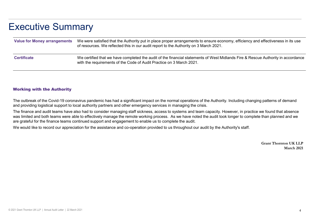## Executive Summary

| <b>Executive Summary</b>            |                                                                                                                                                                                                                                                                                                                                 |
|-------------------------------------|---------------------------------------------------------------------------------------------------------------------------------------------------------------------------------------------------------------------------------------------------------------------------------------------------------------------------------|
| <b>Value for Money arrangements</b> | We were satisfied that the Authority put in place proper arrangements to ensure economy, efficiency and effectiveness in its use<br>of resources. We reflected this in our audit report to the Authority on 3 March 2021.                                                                                                       |
| <b>Certificate</b>                  | We certified that we have completed the audit of the financial statements of West Midlands Fire & Rescue Authority in accordance<br>with the requirements of the Code of Audit Practice on 3 March 2021.                                                                                                                        |
| <b>Working with the Authority</b>   |                                                                                                                                                                                                                                                                                                                                 |
|                                     | The outbreak of the Covid-19 coronavirus pandemic has had a significant impact on the normal operations of the Authority. Including changing patterns of demand<br>and providing logistical support to local authority partners and other emergency services in managing the crisis.                                            |
|                                     | The finance and audit teams have also had to consider managing staff sickness, access to systems and team capacity. However, in practice we found that absence<br>was limited and both teams were able to effectively manage the remote working process. As we have noted the audit took longer to complete than planned and we |

The finance and audit teams have also had to consider managing staff sickness, access to systems and team capacity. However, in practice we found that absence was limited and both teams were able to effectively manage the remote working process. As we have noted the audit took longer to complete than planned and we are grateful for the finance teams continued support and engagement to enable us to complete the audit.

We would like to record our appreciation for the assistance and co-operation provided to us throughout our audit by the Authority's staff.

Grant Thornton UK LLP March 2021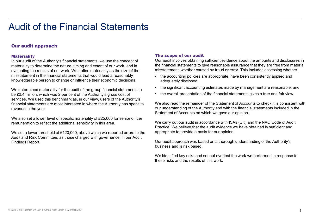### Our audit approach

#### **Materiality**

In our audit of the Authority's financial statements, we use the concept of materiality to determine the nature, timing and extent of our work, and in evaluating the results of our work. We define materiality as the size of the misstatement in the financial statements that would lead a reasonably **business** the accounting policies are appropriate, have been consistently applied and knowledgeable person to change or influence their economic decisions.

We determined materiality for the audit of the group financial statements to **wheeld in the significant accounting estimates made by management are reasonable; and We determined materiality for the audit of the group finan Audit of the Financial Statements**<br> **Statements**<br> **Statements**<br> **Exerces of our audit involves distribution**<br> **Exerces of our set of our work, and in**<br> **Exerces of our work** we define materiality at the sign of the financ services. We used this benchmark as, in our view, users of the Authority's financial statements are most interested in where the Authority has spent its revenue in the year.

We also set a lower level of specific materiality of £25,000 for senior officer remuneration to reflect the additional sensitivity in this area.

We set a lower threshold of £120,000, above which we reported errors to the Audit and Risk Committee, as those charged with governance, in our Audit Findings Report.

#### The scope of our audit

Our audit involves obtaining sufficient evidence about the amounts and disclosures in the financial statements to give reasonable assurance that they are free from material misstatement, whether caused by fraud or error. This includes assessing whether: The scope of our audit<br>
The scope of our audit<br>
Our audit involves obtaining sufficient evidence about the amounts and disclosures in<br>
the financial statements to give reasonable assurance that they are free from material<br> Fire scope of our audit<br>
For accomposition of our audit<br>
For accounting sufficient evidence about the amounts and disclosures in<br>
the financial statements to give reasonable assurance that they are free from material<br>
• th The scope of our audit<br>
Our audit involves obtaining sufficient evidence about the amounts and disclosures in<br>
the financial statements to give reasonable assurance that they are free from material<br>
misstatement, whether c

- adequately disclosed;
- 
- 

We also read the remainder of the Statement of Accounts to check it is consistent with our understanding of the Authority and with the financial statements included in the Statement of Accounts on which we gave our opinion.

We carry out our audit in accordance with ISAs (UK) and the NAO Code of Audit Practice. We believe that the audit evidence we have obtained is sufficient and appropriate to provide a basis for our opinion.

Our audit approach was based on a thorough understanding of the Authority's business and is risk based.

We identified key risks and set out overleaf the work we performed in response to these risks and the results of this work.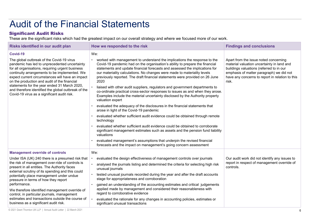### Significant Audit Risks

| <b>Audit of the Financial Statements</b>                                                                                                                                                                                                                                                                                                                                                                                                                                                                                                            |                                                                                                                                                                                                                                                                                                                                                                                                                                                                                                                                                                                                                                                                                                                                                                                                                                                                                                                                                                                                                                                                                                                                                                                                                                                  |                                                                                                                                                                                                                                         |
|-----------------------------------------------------------------------------------------------------------------------------------------------------------------------------------------------------------------------------------------------------------------------------------------------------------------------------------------------------------------------------------------------------------------------------------------------------------------------------------------------------------------------------------------------------|--------------------------------------------------------------------------------------------------------------------------------------------------------------------------------------------------------------------------------------------------------------------------------------------------------------------------------------------------------------------------------------------------------------------------------------------------------------------------------------------------------------------------------------------------------------------------------------------------------------------------------------------------------------------------------------------------------------------------------------------------------------------------------------------------------------------------------------------------------------------------------------------------------------------------------------------------------------------------------------------------------------------------------------------------------------------------------------------------------------------------------------------------------------------------------------------------------------------------------------------------|-----------------------------------------------------------------------------------------------------------------------------------------------------------------------------------------------------------------------------------------|
| <b>Significant Audit Risks</b>                                                                                                                                                                                                                                                                                                                                                                                                                                                                                                                      | These are the significant risks which had the greatest impact on our overall strategy and where we focused more of our work.                                                                                                                                                                                                                                                                                                                                                                                                                                                                                                                                                                                                                                                                                                                                                                                                                                                                                                                                                                                                                                                                                                                     |                                                                                                                                                                                                                                         |
| Risks identified in our audit plan                                                                                                                                                                                                                                                                                                                                                                                                                                                                                                                  | How we responded to the risk                                                                                                                                                                                                                                                                                                                                                                                                                                                                                                                                                                                                                                                                                                                                                                                                                                                                                                                                                                                                                                                                                                                                                                                                                     | <b>Findings and conclusions</b>                                                                                                                                                                                                         |
| Covid-19<br>The global outbreak of the Covid-19 virus<br>pandemic has led to unprecedented uncertainty<br>for all organisations, requiring urgent business<br>continuity arrangements to be implemented. We<br>expect current circumstances will have an impact<br>on the production and audit of the financial<br>statements for the year ended 31 March 2020,<br>and therefore identified the global outbreak of the<br>Covid-19 virus as a significant audit risk.                                                                               | We:<br>worked with management to understand the implications the response to the<br>Covid-19 pandemic had on the organisation's ability to prepare the financial<br>statements and update financial forecasts and assessed the implications for<br>our materiality calculations. No changes were made to materiality levels<br>previously reported. The draft financial statements were provided on 26 June<br>2020<br>liaised with other audit suppliers, regulators and government departments to<br>co-ordinate practical cross-sector responses to issues as and when they arose.<br>Examples include the material uncertainty disclosed by the Authority property<br>valuation expert<br>evaluated the adequacy of the disclosures in the financial statements that<br>arose in light of the Covid-19 pandemic<br>evaluated whether sufficient audit evidence could be obtained through remote<br>technology<br>evaluated whether sufficient audit evidence could be obtained to corroborate<br>significant management estimates such as assets and the pension fund liability<br>valuations<br>evaluated management's assumptions that underpin the revised financial<br>forecasts and the impact on management's going concern assessment | Apart from the issue noted concerning<br>material valuation uncertainty in land and<br>buildings valuations (referred to in our<br>emphasis of matter paragraph) we did not<br>have any concerns to report in relation to this<br>risk. |
| <b>Management override of controls</b><br>Under ISA (UK) 240 there is a presumed risk that<br>the risk of management over-ride of controls is<br>present in all entities. The Authority faces<br>external scrutiny of its spending and this could<br>potentially place management under undue<br>pressure in terms of how they report<br>performance.<br>We therefore identified management override of<br>control, in particular journals, management<br>estimates and transactions outside the course of<br>business as a significant audit risk. | We:<br>evaluated the design effectiveness of management controls over journals<br>analysed the journals listing and determined the criteria for selecting high risk<br>unusual journals<br>tested unusual journals recorded during the year and after the draft accounts<br>stage for appropriateness and corroboration<br>gained an understanding of the accounting estimates and critical judgements<br>applied made by management and considered their reasonableness with<br>regard to corroborative evidence<br>evaluated the rationale for any changes in accounting policies, estimates or<br>significant unusual transactions                                                                                                                                                                                                                                                                                                                                                                                                                                                                                                                                                                                                            | Our audit work did not identify any issues to<br>report in respect of management override of<br>controls.                                                                                                                               |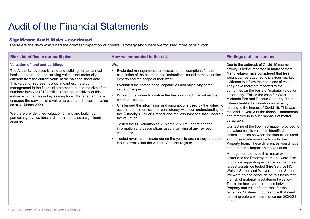| Risks identified in our audit plan                                                                                                                                                                                                                                                                                                                                                                                                                                                                                                                                                                                                                                                                                     | How we responded to the risk                                                                                                                                                                                                                                                                                                                                                                                                                                                                                                                                                                                                                                                                                                                                                                                                                                    | <b>Findings and conclusions</b>                                                                                                                                                                                                                                                                                                                                                                                                                                                                                                                                                                                                                                                                                                                                                                                                                                                                                                                                                                                                                                                                                                                                                                                                                                                                                                                                                                                                     |
|------------------------------------------------------------------------------------------------------------------------------------------------------------------------------------------------------------------------------------------------------------------------------------------------------------------------------------------------------------------------------------------------------------------------------------------------------------------------------------------------------------------------------------------------------------------------------------------------------------------------------------------------------------------------------------------------------------------------|-----------------------------------------------------------------------------------------------------------------------------------------------------------------------------------------------------------------------------------------------------------------------------------------------------------------------------------------------------------------------------------------------------------------------------------------------------------------------------------------------------------------------------------------------------------------------------------------------------------------------------------------------------------------------------------------------------------------------------------------------------------------------------------------------------------------------------------------------------------------|-------------------------------------------------------------------------------------------------------------------------------------------------------------------------------------------------------------------------------------------------------------------------------------------------------------------------------------------------------------------------------------------------------------------------------------------------------------------------------------------------------------------------------------------------------------------------------------------------------------------------------------------------------------------------------------------------------------------------------------------------------------------------------------------------------------------------------------------------------------------------------------------------------------------------------------------------------------------------------------------------------------------------------------------------------------------------------------------------------------------------------------------------------------------------------------------------------------------------------------------------------------------------------------------------------------------------------------------------------------------------------------------------------------------------------------|
| <b>Valuation of land and buildings</b><br>The Authority revalues its land and buildings on an annual<br>basis to ensure that the carrying value is not materially<br>different from the current value at the balance sheet date.<br>This valuation represents a significant estimate by<br>management in the financial statements due to the size of the<br>numbers involved (£124 million) and the sensitivity of this<br>estimate to changes in key assumptions. Management have<br>engaged the services of a valuer to estimate the current value<br>as at 31 March 2020.<br>We therefore identified valuation of land and buildings,<br>particularly revaluations and impairments, as a significant<br>audit risk. | We:<br>Evaluated management's processes and assumptions for the<br>calculation of the estimate, the instructions issued to the valuation<br>experts and the scope of their work<br>Evaluated the competence, capabilities and objectivity of the<br>valuation expert<br>Wrote to the valuer to confirm the basis on which the valuations<br>were carried out<br>Challenged the information and assumptions used by the valuer to<br>assess completeness and consistency with our understanding of<br>the Authority's valuer's report and the assumptions that underpin<br>the valuation<br>Tested the full valuation at 31 March 2020 to understand the<br>information and assumptions used in arriving at any revised<br>valuations<br>Tested revaluations made during the year to ensure they had been<br>input correctly into the Authority's asset register | Due to the outbreak of Covid-19 market<br>activity is being impacted in many sectors.<br>Many valuers have considered that less<br>weight can be attached to previous market<br>evidence to inform their opinions of value.<br>They have therefore reported to the<br>authorities on the basis of 'material valuation<br>uncertainty'. This is the case for West<br>Midlands Fire and Rescue Authority. Your<br>valuer identified a valuation uncertainty<br>relating to the impact of Covid-19. This was<br>reported in Note 3 of the financial statements<br>and referred to in our emphasis of matter<br>paragraph.<br>Our testing of the floor information provided to<br>the valuer for his valuation identified<br>inconsistencies between the floor areas used<br>and those made available to us by the<br>Property team. These differences would have<br>had a material impact on the valuation.<br>Management pursued this matter with the<br>valuer and the Property team and were able<br>to provide supporting evidence for the three<br>largest assets we tested (Fire Service HQ,<br>Walsall Station and Wolverhampton Station).<br>We were able to conclude on this basis that<br>the risk of material misstatement was low.<br>There are however differences between<br>Property and valuer floor areas for the<br>remaining 20 items in our sample that need<br>resolving before we commence our 2020/21<br>audit. |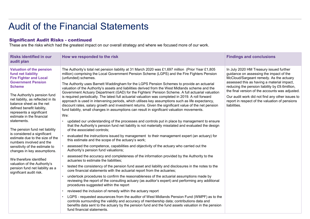| <b>Significant Audit Risks - continued</b>                                                                                                                                                                                                                                                                                                                                                                                                                                                                                                                                                                                                                             | <b>Audit of the Financial Statements</b><br>These are the risks which had the greatest impact on our overall strategy and where we focused more of our work.                                                                                                                                                                                                                                                                                                                                                                                                                                                                                                                                                                                                                                                                                                                                                                                                                                                                                                                                                                                                                                                                                                                                                                                                                                                                                                                                                                                                                                                                                                                                                                                                                                                                                                                                                                                                                                                                                                                                                                                                                                                                                                                                                                                                                                                                                                |                                                                                                                                                                                                                                                                                                                                                                                                       |
|------------------------------------------------------------------------------------------------------------------------------------------------------------------------------------------------------------------------------------------------------------------------------------------------------------------------------------------------------------------------------------------------------------------------------------------------------------------------------------------------------------------------------------------------------------------------------------------------------------------------------------------------------------------------|-------------------------------------------------------------------------------------------------------------------------------------------------------------------------------------------------------------------------------------------------------------------------------------------------------------------------------------------------------------------------------------------------------------------------------------------------------------------------------------------------------------------------------------------------------------------------------------------------------------------------------------------------------------------------------------------------------------------------------------------------------------------------------------------------------------------------------------------------------------------------------------------------------------------------------------------------------------------------------------------------------------------------------------------------------------------------------------------------------------------------------------------------------------------------------------------------------------------------------------------------------------------------------------------------------------------------------------------------------------------------------------------------------------------------------------------------------------------------------------------------------------------------------------------------------------------------------------------------------------------------------------------------------------------------------------------------------------------------------------------------------------------------------------------------------------------------------------------------------------------------------------------------------------------------------------------------------------------------------------------------------------------------------------------------------------------------------------------------------------------------------------------------------------------------------------------------------------------------------------------------------------------------------------------------------------------------------------------------------------------------------------------------------------------------------------------------------------|-------------------------------------------------------------------------------------------------------------------------------------------------------------------------------------------------------------------------------------------------------------------------------------------------------------------------------------------------------------------------------------------------------|
| <b>Risks identified in our</b>                                                                                                                                                                                                                                                                                                                                                                                                                                                                                                                                                                                                                                         | How we responded to the risk                                                                                                                                                                                                                                                                                                                                                                                                                                                                                                                                                                                                                                                                                                                                                                                                                                                                                                                                                                                                                                                                                                                                                                                                                                                                                                                                                                                                                                                                                                                                                                                                                                                                                                                                                                                                                                                                                                                                                                                                                                                                                                                                                                                                                                                                                                                                                                                                                                | <b>Findings and conclusions</b>                                                                                                                                                                                                                                                                                                                                                                       |
| audit plan                                                                                                                                                                                                                                                                                                                                                                                                                                                                                                                                                                                                                                                             |                                                                                                                                                                                                                                                                                                                                                                                                                                                                                                                                                                                                                                                                                                                                                                                                                                                                                                                                                                                                                                                                                                                                                                                                                                                                                                                                                                                                                                                                                                                                                                                                                                                                                                                                                                                                                                                                                                                                                                                                                                                                                                                                                                                                                                                                                                                                                                                                                                                             |                                                                                                                                                                                                                                                                                                                                                                                                       |
| <b>Valuation of the pension</b><br>fund net liability<br><b>Fire Fighter and Local</b><br><b>Government Pension</b><br><b>Scheme</b><br>The Authority's pension fund<br>net liability, as reflected in its<br>balance sheet as the net<br>defined benefit liability,<br>represents a significant<br>estimate in the financial<br>statements.<br>The pension fund net liability<br>is considered a significant<br>estimate due to the size of the<br>numbers involved and the<br>sensitivity of the estimate to<br>changes in key assumptions.<br>We therefore identified<br>valuation of the Authority's<br>pension fund net liability as a<br>significant audit risk. | The Authority's total net pension liability at 31 March 2020 was £1,697 million (Prior Year £1,805<br>million) comprising the Local Government Pension Scheme (LGPS) and the Fire Fighters Pension<br>(unfunded) schemes.<br>The Authority uses Barnett Waddingham for the LGPS Pension Schemes to provide an actuarial<br>valuation of the Authority's assets and liabilities derived from the West Midlands scheme and the<br>Government Actuary Department (GAD) for the Fighters' Pension Scheme. A full actuarial valuation<br>is required periodically. The latest full actuarial valuation was completed in 2019. A roll forward<br>approach is used in intervening periods, which utilises key assumptions such as life expectancy,<br>discount rates, salary growth and investment returns. Given the significant value of the net pension<br>fund liability, small changes in assumptions can result in significant valuation movements.<br>We:<br>updated our understanding of the processes and controls put in place by management to ensure<br>that the Authority's pension fund net liability is not materially misstated and evaluated the design<br>of the associated controls;<br>evaluated the instructions issued by management to their management expert (an actuary) for<br>this estimate and the scope of the actuary's work;<br>assessed the competence, capabilities and objectivity of the actuary who carried out the<br>Authority's pension fund valuations;<br>assessed the accuracy and completeness of the information provided by the Authority to the<br>actuaries to estimate the liabilities;<br>tested the consistency of the pension fund asset and liability and disclosures in the notes to the<br>core financial statements with the actuarial report from the actuaries;<br>undertook procedures to confirm the reasonableness of the actuarial assumptions made by<br>reviewing the report of the consulting actuary (as auditor's expert) and performing any additional<br>procedures suggested within the report<br>reviewed the inclusion of remedy within the actuary report<br>LGPS - requested assurances from the auditor of West Midlands Pension Fund (WMPF) as to the<br>controls surrounding the validity and accuracy of membership data; contributions data and<br>benefits data sent to the actuary by the pension fund and the fund assets valuation in the pension<br>fund financial statements. | In July 2020 HM Treasury issued further<br>guidance on assessing the impact of the<br>McCloud/Sargeant remedy. As the actuary<br>assessed this as having a material impact,<br>reducing the pension liability by £9.6million,<br>the final version of the accounts was adjusted.<br>Our audit work did not find any other issues to<br>report in respect of the valuation of pensions<br>liabilities. |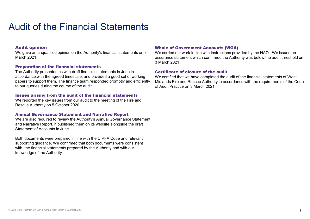#### Audit opinion

We gave an unqualified opinion on the Authority's financial statements on 3 March 2021.

#### Preparation of the financial statements

The Authority presented us with draft financial statements in June in accordance with the agreed timescale, and provided a good set of working papers to support them. The finance team responded promptly and efficiently to our queries during the course of the audit.

#### Issues arising from the audit of the financial statements

We reported the key issues from our audit to the meeting of the Fire and Rescue Authority on 5 October 2020.

#### Annual Governance Statement and Narrative Report

We are also required to review the Authority's Annual Governance Statement and Narrative Report. It published them on its website alongside the draft Statement of Accounts in June.

Both documents were prepared in line with the CIPFA Code and relevant supporting guidance. We confirmed that both documents were consistent with the financial statements prepared by the Authority and with our knowledge of the Authority.

#### Whole of Government Accounts (WGA)

We carried out work in line with instructions provided by the NAO . We issued an assurance statement which confirmed the Authority was below the audit threshold on 3 March 2021.

#### Certificate of closure of the audit

We certified that we have completed the audit of the financial statements of West Midlands Fire and Rescue Authority in accordance with the requirements of the Code of Audit Practice on 3 March 2021.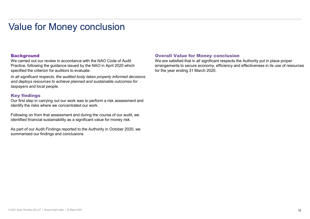### Value for Money conclusion

### **Background**

We carried out our review in accordance with the NAO Code of Audit Practice, following the guidance issued by the NAO in April 2020 which specified the criterion for auditors to evaluate:

In all significant respects, the audited body takes properly informed decisions and deploys resources to achieve planned and sustainable outcomes for taxpayers and local people. **Background**<br>
We carried out our review in accordance with the NAO Code of Audit<br>
We are statisfed that in all significant respects the API example and action of Practice, following the guidance issued by the NAO in April

### Key findings

Our first step in carrying out our work was to perform a risk assessment and identify the risks where we concentrated our work.

Following on from that assessment and during the course of our audit, we identified financial sustainability as a significant value for money risk.

summarised our findings and conclusions

### Overall Value for Money conclusion

We are satisfied that in all significant respects the Authority put in place proper arrangements to secure economy, efficiency and effectiveness in its use of resources for the year ending 31 March 2020.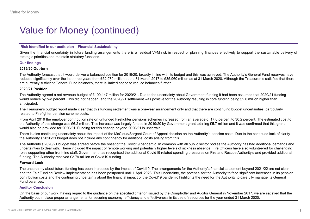## Value for Money (continued)

for Money<br>
Value for Money (continued)<br>
Risk identified in our audit plan – Financial Sustainability<br>
Risk identified in our audit plan – Financial Sustainability<br>
Siven the financial uncertainty in future funding arrangem Financial uncertainty in future funding arrangements<br>Given the financial uncertainty in future funding arrangements there is a residual VFM risk in respect of planning finances effectively to support the sustainable delive

#### Our findings

#### 2019/20 Out-turn

strategic priorities and maintain statutory (CONTINUED)<br>Strategic priorities and maintain statutory functions.<br>Given the financial uncertainty in future funding arrangements there is a residual VFM risk in respect of plann The Authority forecast that it would deliver a balanced position for 2019/20, broadly in line with its budget and this was achieved. The Authority's General Fund reserves have reduced significantly over the last three years from £52.970 million at the 31 March 2017 to £35.960 million as at 31 March 2020. Although the Treasurer is satisfied that there are currently sufficient General Fund balances, there is limited scope to reduce balances further. The Kidentified in our audit plan – Financial Sustainability<br>The Kidentified in our audit plan – Financial Sustainability<br>Straige profiles and minitain slatulory functions.<br>Straige profiles and minitain slatulory functions for Money<br>Wallue for Monet in our undit plan - Financial Sustainability<br>Rive the financial uncertainty in future funding arrangements there is a residual VFM risk in respect of planning finances effectively to support the Value for Money (continued)<br>
Risk identified in our audit plan – Financial Sustainability<br>
Given the financial uncertainty in future funding arrangements there is a residual VFM risk in respect of planning finances effecti

#### 2020/21 Position

anticipated.

The Treasurer's budget report made clear that this funding settlement was a one-year arrangement only and that there are continuing budget uncertainties, particularly related to Firefighter pension scheme costs.

From April 2019 the employer contribution rate on unfunded Firefighter pensions schemes increased from an average of 17.6 percent to 30.2 percent. The estimated cost to would also be provided for 2020/21. Funding for this change beyond 2020/21 is uncertain.

the Authority's 2020/21 budget does not include any contingency for additional costs arising from this.

Risk identified in our audit plan – Financial Sustainability<br>Siven the financial uncertainty in future funding arrangements there is a residual VFM risk in respect of planning finances effectively to support the sustainabl The Authority's 2020/21 budget was agreed before the onset of the Covid19 pandemic. In common with all public sector bodies the Authority has had additional demands and uncertainties to deal with. These included the impact of remote working and potentially higher levels of sickness absence. Fire Officers have also volunteered for challenging sexuage promus ano mannam statutory uncores.<br>2019/20 Out-turn<br>The Authority forecast that it would deliver a balanced position for 2019/20, proadly in line with its budget and this was achieved. The Authorny's General Fund funding. The Authority received £2.79 million of Covid19 funding.

#### Forward Look

The Authority foreast that it would deliver balanear position for 2019/20, proady in line with is budget and this was chiesens hand the impact of Colematical Settlement Fund research for a controlly supported about the imp and the Fair Funding Review implementation has been postponed until 1 April 2023. This uncertainty, the potential for the Authority to face significant increases in its pension are currently sufficient General Fund balances, there is limited scope to reduce balances further.<br>The Authority agred a net revenue budget of 1:10,147 million for 2020/21 Due to the uncertainty about Government funding it Fund balances. would reduce by two percent. This did not happen, and the 2020/21 settlement was positive for the Authority resulting in one funding being £2.0 million higher than the basis of the Rreasure's budget true franchises particl antiforeted.<br>The Treasurer's budget report made clear that this funding sellternet was a one-year arrangement only and that there are continuing budget uncertaintes, patitcularly<br>related to Firefalyter persion scheme costs

#### Auditor Conclusion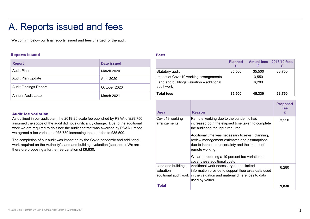### A. Reports issued and fees

#### Reports issued

| A. Reports issued and fees                                                                                                                                                                                                                                 |                    |                                 |                                                                 |
|------------------------------------------------------------------------------------------------------------------------------------------------------------------------------------------------------------------------------------------------------------|--------------------|---------------------------------|-----------------------------------------------------------------|
| We confirm below our final reports issued and fees charged for the audit.                                                                                                                                                                                  |                    |                                 |                                                                 |
|                                                                                                                                                                                                                                                            |                    |                                 |                                                                 |
| <b>Reports issued</b>                                                                                                                                                                                                                                      |                    | <b>Fees</b>                     |                                                                 |
| <b>Report</b>                                                                                                                                                                                                                                              | <b>Date issued</b> |                                 |                                                                 |
| <b>Audit Plan</b>                                                                                                                                                                                                                                          | <b>March 2020</b>  | Statutory audit                 |                                                                 |
| Audit Plan Update                                                                                                                                                                                                                                          | April 2020         |                                 | Impact of Covid19 working arrangements                          |
| <b>Audit Findings Report</b>                                                                                                                                                                                                                               | October 2020       | audit work                      | Land and buildings valuation - additional                       |
| <b>Annual Audit Letter</b>                                                                                                                                                                                                                                 | March 2021         | <b>Total fees</b>               |                                                                 |
|                                                                                                                                                                                                                                                            |                    |                                 |                                                                 |
| <b>Audit fee variation</b>                                                                                                                                                                                                                                 |                    | <b>Area</b>                     | <b>Reason</b>                                                   |
| As outlined in our audit plan, the 2019-20 scale fee published by PSAA of £29,750<br>assumed the scope of the audit did not significantly change. Due to the additional<br>work we are required to do since the audit contract was awarded by PSAA Limited |                    | Covid19 working<br>arrangements | Remote working du<br>increased both the<br>the audit and the in |
| we agreed a fee variation of £5,750 increasing the audit fee to £35,500.                                                                                                                                                                                   |                    |                                 | Additional time was                                             |
| The completion of our audit was impacted by the Covid pandemic and additional<br>work required on the Authority's land and buildings valuation (see table). We are<br>therefore proposing a further fee variation of £9,830.                               |                    |                                 | review managemer<br>due to increased ur<br>remote working.      |
|                                                                                                                                                                                                                                                            |                    |                                 | We are proposing a<br>cover these additior                      |

#### Audit fee variation

#### Fees and the contract of the contract of the contract of the contract of the contract of the contract of the contract of the contract of the contract of the contract of the contract of the contract of the contract of the c

| <b>Fees</b>                                             |                                                                                                                                  |                     |                         |                        |
|---------------------------------------------------------|----------------------------------------------------------------------------------------------------------------------------------|---------------------|-------------------------|------------------------|
|                                                         |                                                                                                                                  | <b>Planned</b><br>£ | <b>Actual fees</b><br>£ | 2018/19 fees<br>£      |
| Statutory audit                                         |                                                                                                                                  | 35,500              | 35,500                  | 33,750                 |
| Impact of Covid19 working arrangements                  |                                                                                                                                  |                     | 3,550                   |                        |
| Land and buildings valuation - additional<br>audit work |                                                                                                                                  |                     | 6,280                   |                        |
|                                                         |                                                                                                                                  |                     |                         |                        |
| <b>Total fees</b>                                       |                                                                                                                                  | 35,500              | 45,330                  | 33,750                 |
|                                                         |                                                                                                                                  |                     |                         | <b>Proposed</b><br>Fee |
| <b>Area</b>                                             | <b>Reason</b>                                                                                                                    |                     |                         | £                      |
| Covid19 working<br>arrangements                         | Remote working due to the pandemic has<br>increased both the elapsed time taken to complete<br>the audit and the input required. |                     |                         | 3,550                  |
|                                                         | Additional time was necessary to revisit planning,                                                                               |                     |                         |                        |

| <b>Area</b>                         | <b>Reason</b>                                                                                                                                                                                                                                                                                                                                                                                | <b>Proposed</b><br><b>Fee</b><br>£ |
|-------------------------------------|----------------------------------------------------------------------------------------------------------------------------------------------------------------------------------------------------------------------------------------------------------------------------------------------------------------------------------------------------------------------------------------------|------------------------------------|
| Covid19 working<br>arrangements     | Remote working due to the pandemic has<br>increased both the elapsed time taken to complete<br>the audit and the input required.<br>Additional time was necessary to revisit planning,<br>review management estimates and assumptions<br>due to increased uncertainty and the impact of<br>remote working.<br>We are proposing a 10 percent fee variation to<br>cover these additional costs | 3,550                              |
| Land and buildings<br>valuation $-$ | Additional work necessary due to limited<br>information provide to support floor area data used<br>additional audit work in the valuation and material differences to data<br>used by valuer.                                                                                                                                                                                                | 6,280                              |
| Total                               |                                                                                                                                                                                                                                                                                                                                                                                              | 9,830                              |